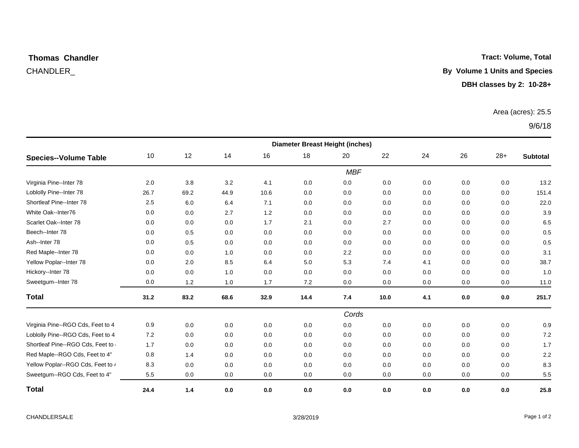# **Thomas Chandler**

#### **Tract: Volume, Total**

CHANDLER\_ **By Volume 1 Units and Species**

**DBH classes by 2: 10-28+**

#### Area (acres): 25.5

9/6/18

|                                          | <b>Diameter Breast Height (inches)</b> |      |      |      |      |       |      |     |     |       |                 |  |
|------------------------------------------|----------------------------------------|------|------|------|------|-------|------|-----|-----|-------|-----------------|--|
| Species--Volume Table                    | 10                                     | 12   | 14   | 16   | 18   | 20    | 22   | 24  | 26  | $28+$ | <b>Subtotal</b> |  |
|                                          | <b>MBF</b>                             |      |      |      |      |       |      |     |     |       |                 |  |
| Virginia Pine--Inter 78                  | 2.0                                    | 3.8  | 3.2  | 4.1  | 0.0  | 0.0   | 0.0  | 0.0 | 0.0 | 0.0   | 13.2            |  |
| Loblolly Pine--Inter 78                  | 26.7                                   | 69.2 | 44.9 | 10.6 | 0.0  | 0.0   | 0.0  | 0.0 | 0.0 | 0.0   | 151.4           |  |
| Shortleaf Pine--Inter 78                 | 2.5                                    | 6.0  | 6.4  | 7.1  | 0.0  | 0.0   | 0.0  | 0.0 | 0.0 | 0.0   | 22.0            |  |
| White Oak--Inter76                       | 0.0                                    | 0.0  | 2.7  | 1.2  | 0.0  | 0.0   | 0.0  | 0.0 | 0.0 | 0.0   | 3.9             |  |
| Scarlet Oak--Inter 78                    | 0.0                                    | 0.0  | 0.0  | 1.7  | 2.1  | 0.0   | 2.7  | 0.0 | 0.0 | 0.0   | 6.5             |  |
| Beech--Inter 78                          | 0.0                                    | 0.5  | 0.0  | 0.0  | 0.0  | 0.0   | 0.0  | 0.0 | 0.0 | 0.0   | 0.5             |  |
| Ash--Inter 78                            | 0.0                                    | 0.5  | 0.0  | 0.0  | 0.0  | 0.0   | 0.0  | 0.0 | 0.0 | 0.0   | 0.5             |  |
| Red Maple--Inter 78                      | 0.0                                    | 0.0  | 1.0  | 0.0  | 0.0  | 2.2   | 0.0  | 0.0 | 0.0 | 0.0   | 3.1             |  |
| Yellow Poplar--Inter 78                  | 0.0                                    | 2.0  | 8.5  | 6.4  | 5.0  | 5.3   | 7.4  | 4.1 | 0.0 | 0.0   | 38.7            |  |
| Hickory--Inter 78                        | 0.0                                    | 0.0  | 1.0  | 0.0  | 0.0  | 0.0   | 0.0  | 0.0 | 0.0 | 0.0   | 1.0             |  |
| Sweetgum--Inter 78                       | 0.0                                    | 1.2  | 1.0  | 1.7  | 7.2  | 0.0   | 0.0  | 0.0 | 0.0 | 0.0   | 11.0            |  |
| <b>Total</b>                             | 31.2                                   | 83.2 | 68.6 | 32.9 | 14.4 | 7.4   | 10.0 | 4.1 | 0.0 | 0.0   | 251.7           |  |
|                                          |                                        |      |      |      |      | Cords |      |     |     |       |                 |  |
| Virginia Pine--RGO Cds, Feet to 4        | 0.9                                    | 0.0  | 0.0  | 0.0  | 0.0  | 0.0   | 0.0  | 0.0 | 0.0 | 0.0   | 0.9             |  |
| Loblolly Pine--RGO Cds, Feet to 4        | 7.2                                    | 0.0  | 0.0  | 0.0  | 0.0  | 0.0   | 0.0  | 0.0 | 0.0 | 0.0   | 7.2             |  |
| Shortleaf Pine--RGO Cds, Feet to $\cdot$ | 1.7                                    | 0.0  | 0.0  | 0.0  | 0.0  | 0.0   | 0.0  | 0.0 | 0.0 | 0.0   | 1.7             |  |
| Red Maple--RGO Cds, Feet to 4"           | 0.8                                    | 1.4  | 0.0  | 0.0  | 0.0  | 0.0   | 0.0  | 0.0 | 0.0 | 0.0   | 2.2             |  |
| Yellow Poplar--RGO Cds, Feet to 4        | 8.3                                    | 0.0  | 0.0  | 0.0  | 0.0  | 0.0   | 0.0  | 0.0 | 0.0 | 0.0   | 8.3             |  |
| Sweetgum--RGO Cds, Feet to 4"            | 5.5                                    | 0.0  | 0.0  | 0.0  | 0.0  | 0.0   | 0.0  | 0.0 | 0.0 | 0.0   | $5.5\,$         |  |
| <b>Total</b>                             | 24.4                                   | 1.4  | 0.0  | 0.0  | 0.0  | 0.0   | 0.0  | 0.0 | 0.0 | 0.0   | 25.8            |  |